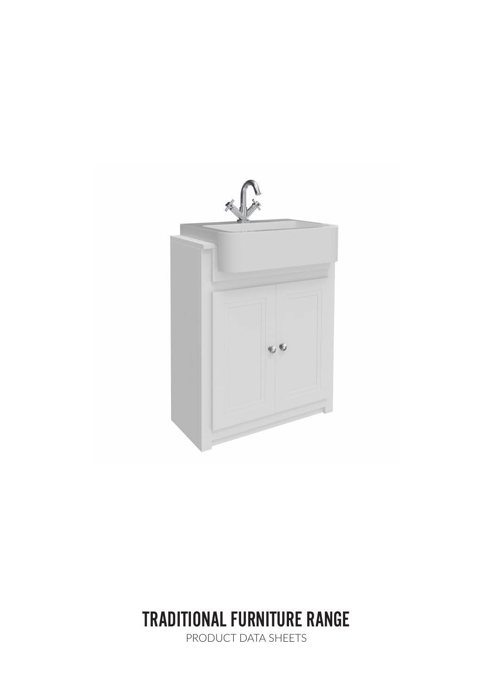

# TRADITIONAL FURNITURE RANGE

PRODUCT DATA SHEETS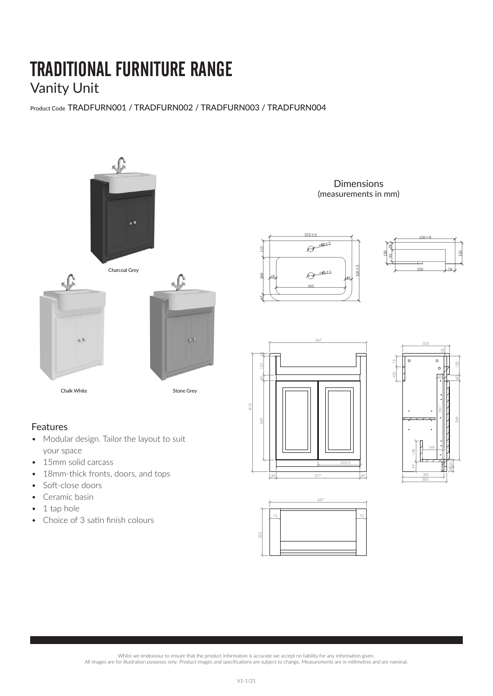# TRADITIONAL FURNITURE RANGE Vanity Unit

Product Code TRADFURN001 / TRADFURN002 / TRADFURN003 / TRADFURN004



### Features

- Modular design. Tailor the layout to suit your space
- 15mm solid carcass
- 18mm-thick fronts, doors, and tops
- Soft-close doors
- Ceramic basin
- 1 tap hole
- Choice of 3 satin finish colours

**Dimensions** (measurements in mm)











. Whilst we endeavour to ensure that the product information is accurate we accept no liability for any information given.<br>All images are for illustration purposes only. Product images and specifications are subject to cha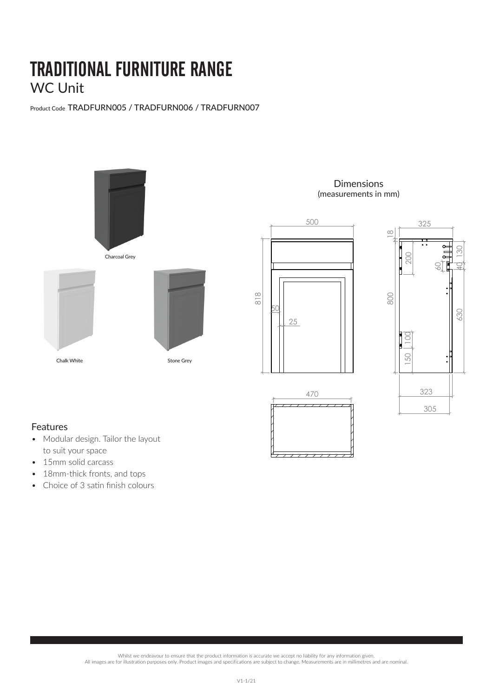# TRADITIONAL FURNITURE RANGE WC Unit

Product Code TRADFURN005 / TRADFURN006 / TRADFURN007



**Dimensions** (measurements in mm)



470

 $\mathbf{r}$ 



MD911�桶哳

工程�号

工程�号

### Features

- Modular design. Tailor the layout to suit your space
- 15mm solid carcass
- 18mm-thick fronts, and tops
- Choice of 3 satin finish colours

Whilst we endeavour to ensure that the product information is accurate we accept no liability for any information given.<br>All images are for illustration purposes only. Product images and specifications are subject to chang MD911�桶哳

制造 ��

制造 ��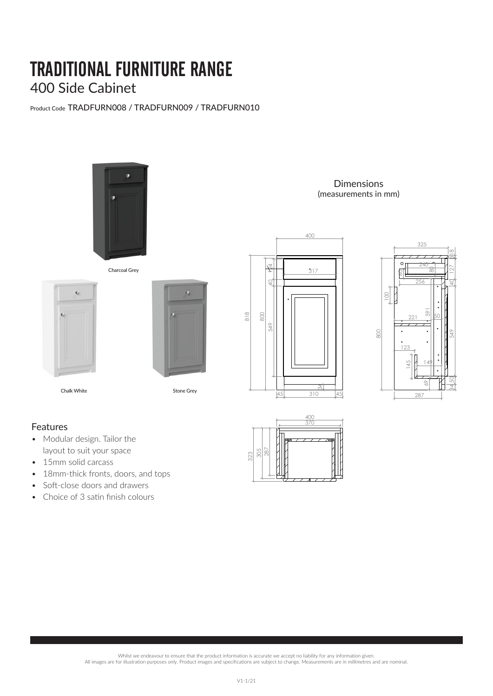### TRADITIONAL FURNITURE RANGE 400 Side Cabinet

Product Code TRADFURN008 / TRADFURN009 / TRADFURN010



Charcoal Grey

ø

Chalk White **Stone Grey** 

**Dimensions** (measurements in mm)





15 haqida 15 da qayta 15 da qayta 15 da qayta 15 da qayta 15 da qayta 15 da qayta 15 da qayta 15 da qayta 15 d

 $18.8<sub>10</sub>$ 

#### Features

• Modular design. Tailor the layout to suit your space

 $\mathbb{G}$ 

- 15mm solid carcass
- 18mm-thick fronts, doors, and tops
- Soft-close doors and drawers
- $\bullet$  Choice of 3 satin finish colours



Whilst we endeavour to ensure that the product information is accurate we accept no liability for any information given.<br>All images are for illustration purposes only. Product images and specifications are subject to chang